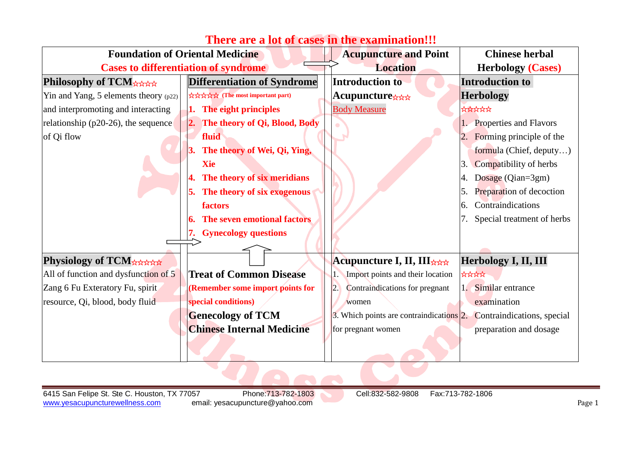| <b>Foundation of Oriental Medicine</b>      |                                    | <b>Acupuncture and Point</b>                                        | <b>Chinese herbal</b>                      |  |
|---------------------------------------------|------------------------------------|---------------------------------------------------------------------|--------------------------------------------|--|
| <b>Cases to differentiation of syndrome</b> |                                    | <b>Location</b>                                                     | <b>Herbology (Cases)</b>                   |  |
| Philosophy of TCM $\star\star\star\star$    | <b>Differentiation of Syndrome</b> | <b>Introduction to</b>                                              | <b>Introduction to</b>                     |  |
| Yin and Yang, 5 elements theory $(p22)$     | ☆☆☆☆☆ (The most important part)    | Acupuncture <sub>xxx</sub>                                          | <b>Herbology</b>                           |  |
| and interpromoting and interacting          | The eight principles<br>1.         | <b>Body Measure</b>                                                 | *****                                      |  |
| relationship (p20-26), the sequence         | 2. The theory of Qi, Blood, Body   |                                                                     | <b>Properties and Flavors</b>              |  |
| of Qi flow                                  | fluid                              |                                                                     | Forming principle of the                   |  |
|                                             | The theory of Wei, Qi, Ying,       |                                                                     | formula (Chief, deputy)                    |  |
|                                             | <b>Xie</b>                         |                                                                     | Compatibility of herbs<br>3.               |  |
|                                             | The theory of six meridians        |                                                                     | Dosage (Qian=3gm)                          |  |
|                                             | The theory of six exogenous        |                                                                     | Preparation of decoction<br>5 <sub>1</sub> |  |
|                                             | factors                            |                                                                     | Contraindications<br>6.                    |  |
|                                             | The seven emotional factors        |                                                                     | Special treatment of herbs                 |  |
|                                             | <b>Gynecology questions</b>        |                                                                     |                                            |  |
|                                             |                                    |                                                                     |                                            |  |
| <b>Physiology of TCM</b> *****              |                                    | <b>Acupuncture I, II, III</b> ***                                   | Herbology I, II, III                       |  |
| All of function and dysfunction of 5        | <b>Treat of Common Disease</b>     | Import points and their location                                    | ****                                       |  |
| Zang 6 Fu Exteratory Fu, spirit             | (Remember some import points for   | Contraindications for pregnant<br> 2.                               | 1. Similar entrance                        |  |
| resource, Qi, blood, body fluid             | special conditions)                | women                                                               | examination                                |  |
|                                             | <b>Genecology of TCM</b>           | 3. Which points are contraindications 2. Contraindications, special |                                            |  |
|                                             | <b>Chinese Internal Medicine</b>   | for pregnant women                                                  | preparation and dosage                     |  |
|                                             |                                    |                                                                     |                                            |  |
|                                             |                                    |                                                                     |                                            |  |

6415 San Felipe St. Ste C. Houston, TX 77057<br>
www.yesacupuncturewellness.com email: yesacupuncture@yahoo.com Cell:832-582-9808 Fax:713-782-1806

www.yesacupuncture@yahoo.com email: yesacupuncture@yahoo.com Page 1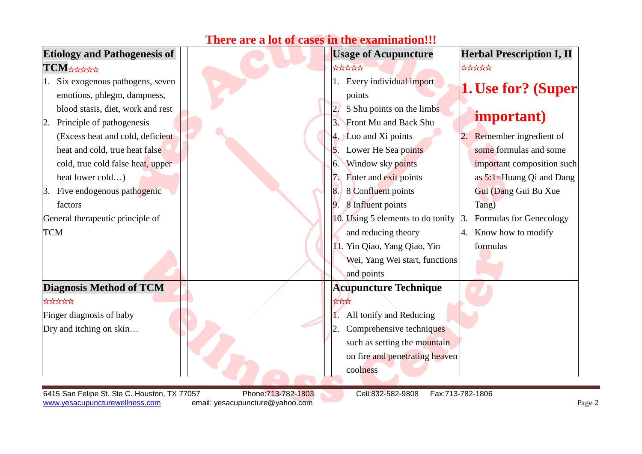| <b>Etiology and Pathogenesis of</b>          |                     |             | <b>Usage of Acupuncture</b>                                           | <b>Herbal Prescription I, II</b> |
|----------------------------------------------|---------------------|-------------|-----------------------------------------------------------------------|----------------------------------|
| TCM*****                                     |                     |             | *****                                                                 | *****                            |
| 1. Six exogenous pathogens, seven            |                     |             | 1. Every individual import                                            |                                  |
| emotions, phlegm, dampness,                  |                     |             | points                                                                | 1. Use for? (Super               |
| blood stasis, diet, work and rest            |                     |             | 5 Shu points on the limbs                                             |                                  |
| Principle of pathogenesis                    |                     |             | 3. Front Mu and Back Shu                                              | important)                       |
| (Excess heat and cold, deficient             |                     |             | 4. Luo and Xi points                                                  | Remember ingredient of           |
| heat and cold, true heat false               |                     |             | Lower He Sea points                                                   | some formulas and some           |
| cold, true cold false heat, upper            |                     |             | Window sky points                                                     | important composition such       |
| heat lower cold)                             |                     |             | Enter and exit points                                                 | as 5:1=Huang Qi and Dang         |
| 3. Five endogenous pathogenic                |                     |             | 8 Confluent points                                                    | Gui (Dang Gui Bu Xue             |
| factors                                      |                     |             | 8 Influent points                                                     | Tang)                            |
| General therapeutic principle of             |                     |             | 10. Using 5 elements to do tonify $\vert 3$ . Formulas for Genecology |                                  |
| <b>TCM</b>                                   |                     |             | and reducing theory                                                   | 4. Know how to modify            |
|                                              |                     |             | 11. Yin Qiao, Yang Qiao, Yin                                          | formulas                         |
|                                              |                     |             | Wei, Yang Wei start, functions                                        |                                  |
|                                              |                     |             | and points                                                            |                                  |
| <b>Diagnosis Method of TCM</b>               |                     |             | <b>Acupuncture Technique</b>                                          |                                  |
| *****                                        |                     | $\pi\pi\pi$ |                                                                       |                                  |
| Finger diagnosis of baby                     |                     |             | All tonify and Reducing                                               |                                  |
| Dry and itching on skin                      |                     |             | Comprehensive techniques                                              |                                  |
|                                              |                     |             | such as setting the mountain                                          |                                  |
|                                              |                     |             | on fire and penetrating heaven                                        |                                  |
|                                              |                     |             | coolness                                                              |                                  |
| 6415 San Felipe St. Ste C. Houston, TX 77057 | Phone: 713-782-1803 |             | Cell:832-582-9808<br>Fax:713-782-1806                                 |                                  |

www.yesacupuncturewellness.com email: yesacupuncture@yahoo.com email: email: email: email: email: email: email: email: email: email: email: email: email: email: email: email: email: email: email: email: email: email: email

and the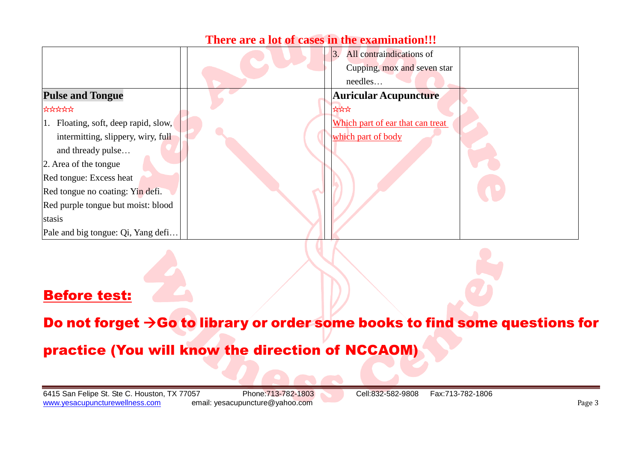|                                      | All contraindications of<br> 3.<br>Cupping, mox and seven star<br>needles |
|--------------------------------------|---------------------------------------------------------------------------|
| <b>Pulse and Tongue</b>              | <b>Auricular Acupuncture</b>                                              |
| *****                                | ਲੇਲੇ                                                                      |
| 1. Floating, soft, deep rapid, slow, | Which part of ear that can treat                                          |
| intermitting, slippery, wiry, full   | which part of body                                                        |
| and thready pulse                    |                                                                           |
| 2. Area of the tongue                |                                                                           |
| Red tongue: Excess heat              |                                                                           |
| Red tongue no coating: Yin defi.     |                                                                           |
| Red purple tongue but moist: blood   |                                                                           |
| stasis                               |                                                                           |
| Pale and big tongue: Qi, Yang defi   |                                                                           |

# Before test:

Do not forget  $\rightarrow$  Go to library or order some books to find some questions for

practice (You will know the direction of NCCAOM)

6415 San Felipe St. Ste C. Houston, TX 77057 Phone:713-782-1803 Cell:832-582-9808 Fax:713-782-1806 www.yesacupuncturewellness.com email: yesacupuncture@yahoo.com email: and a series of the page 3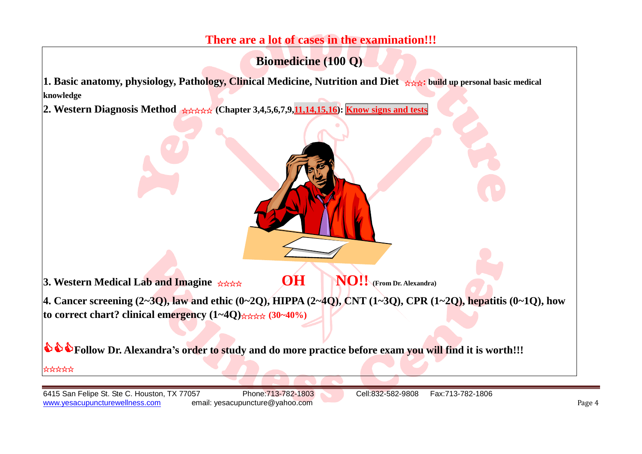**Biomedicine (100 Q)**

**1. Basic anatomy, physiology, Pathology, Clinical Medicine, Nutrition and Diet** ☆☆☆**: build up personal basic medical knowledge**

**2. Western Diagnosis Method** ☆☆☆☆☆ **(Chapter 3,4,5,6,7,9,11,14,15,16): Know signs and tests**

**3. Western Medical Lab and Imagine** ☆☆☆☆ **OH NO!! (From Dr. Alexandra)**

**4. Cancer screening (2~3Q), law and ethic (0~2Q), HIPPA (2~4Q), CNT (1~3Q), CPR (1~2Q), hepatitis (0~1Q), how to correct chart? clinical emergency (1~4Q)**☆☆☆☆ **(30~40%)**

**Follow Dr. Alexandra's order to study and do more practice before exam you will find it is worth!!!**

☆☆☆☆☆